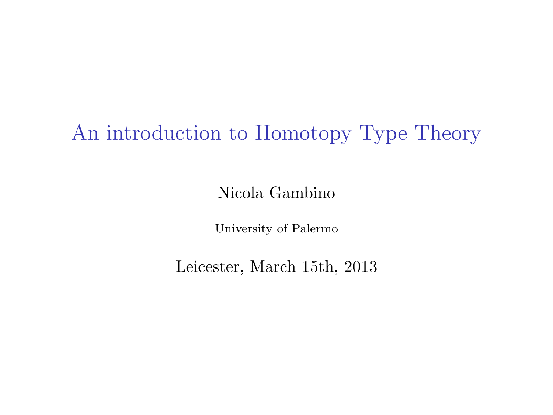## An introduction to Homotopy Type Theory

Nicola Gambino

University of Palermo

Leicester, March 15th, 2013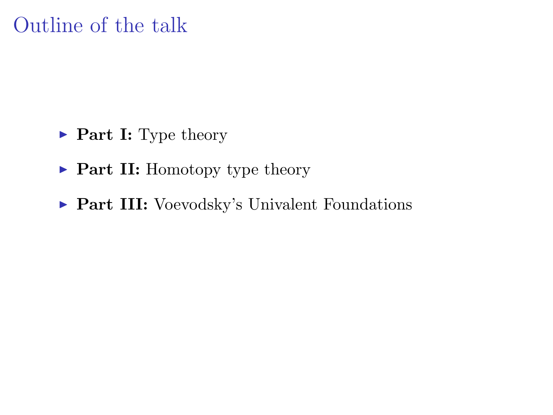## Outline of the talk

- ▶ Part I: Type theory
- ▶ Part II: Homotopy type theory
- **Part III:** Voevodsky's Univalent Foundations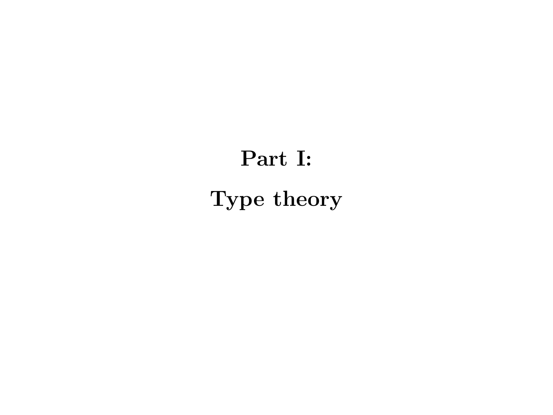# Part I: Type theory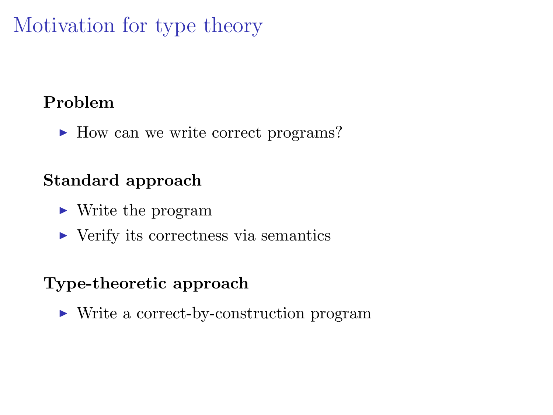# Motivation for type theory

## Problem

In How can we write correct programs?

## Standard approach

- $\blacktriangleright$  Write the program
- $\triangleright$  Verify its correctness via semantics

#### Type-theoretic approach

► Write a correct-by-construction program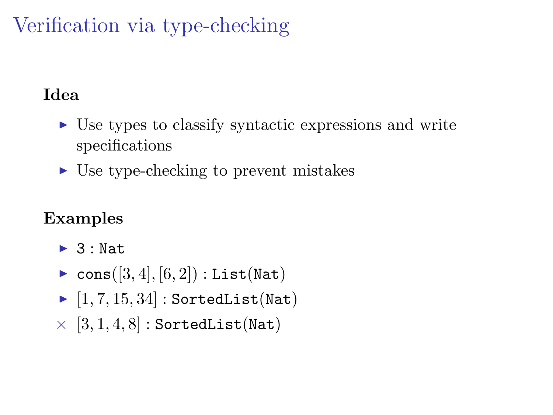# Verification via type-checking

## Idea

- $\triangleright$  Use types to classify syntactic expressions and write specifications
- $\triangleright$  Use type-checking to prevent mistakes

## Examples

- $\blacktriangleright$  3 : Nat.
- $\triangleright$  cons $([3, 4], [6, 2])$ : List(Nat)
- $\blacktriangleright$  [1, 7, 15, 34] : SortedList(Nat)
- $\times$  [3, 1, 4, 8] : SortedList(Nat)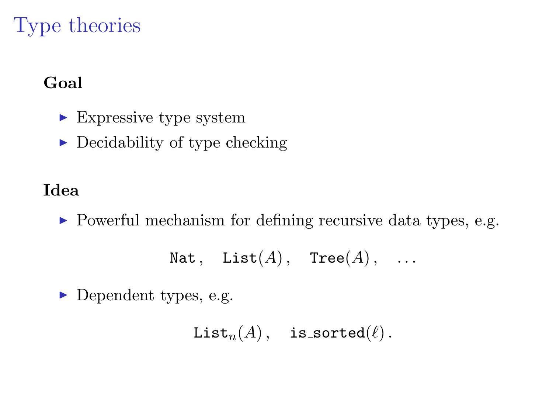# Type theories

## Goal

- $\blacktriangleright$  Expressive type system
- $\triangleright$  Decidability of type checking

## Idea

 $\triangleright$  Powerful mechanism for defining recursive data types, e.g.

```
Nat, List(A), Tree(A), ...
```
 $\blacktriangleright$  Dependent types, e.g.

 $List_n(A)$ , is\_sorted $(\ell)$ .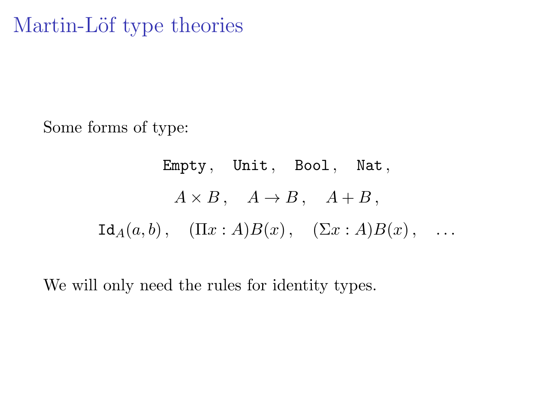Martin-Löf type theories

Some forms of type:

Empty, Unit, Bool, Nat,  $A \times B$ ,  $A \rightarrow B$ ,  $A+B$ ,  $\text{Id}_A(a, b)$ ,  $(\Pi x : A)B(x)$ ,  $(\Sigma x : A)B(x)$ , ...

We will only need the rules for identity types.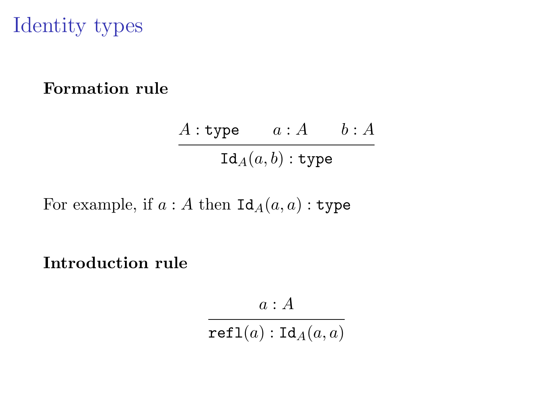# Identity types

#### Formation rule

$$
\cfrac{A:\texttt{type} \qquad a:A \qquad b:A}{\texttt{Id}_A(a,b):\texttt{type}}
$$

For example, if  $a : A$  then  $\text{Id}_{A}(a, a) :$  type

Introduction rule

 $a : A$ 

 $refl(a): Id_A(a, a)$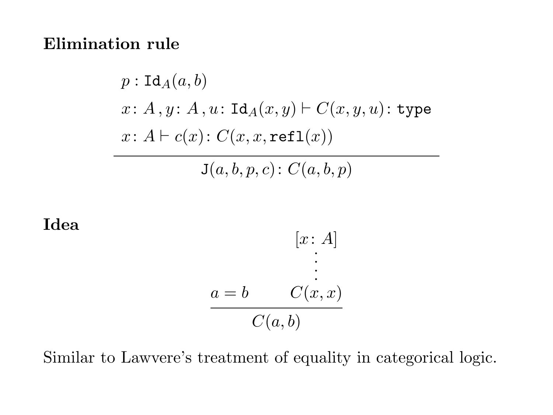Elimination rule

$$
p: \text{Id}_{A}(a, b)
$$
  

$$
x: A, y: A, u: \text{Id}_{A}(x, y) \vdash C(x, y, u): \text{type}
$$
  

$$
x: A \vdash c(x): C(x, x, \text{refl}(x))
$$

 $J(a, b, p, c): C(a, b, p)$ 

Idea

$$
[x : A]
$$
  
\n
$$
\vdots
$$
  
\n
$$
a = b \qquad C(x, x)
$$
  
\n
$$
C(a, b)
$$

Similar to Lawvere's treatment of equality in categorical logic.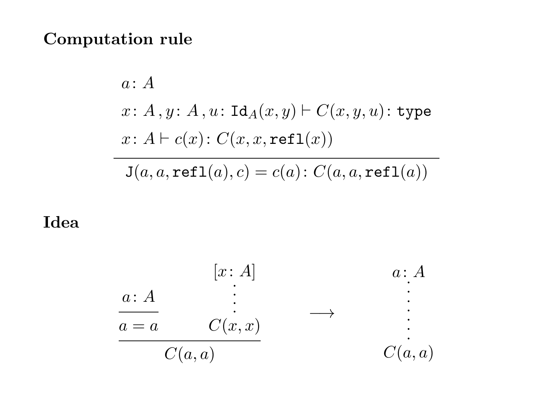#### Computation rule

$$
a: A
$$
  

$$
x: A, y: A, u: \text{Id}_{A}(x, y) \vdash C(x, y, u): \text{type}
$$
  

$$
x: A \vdash c(x): C(x, x, \text{refl}(x))
$$
  

$$
\text{J}(a, a, \text{refl}(a), c) = c(a): C(a, a, \text{refl}(a))
$$

#### Idea

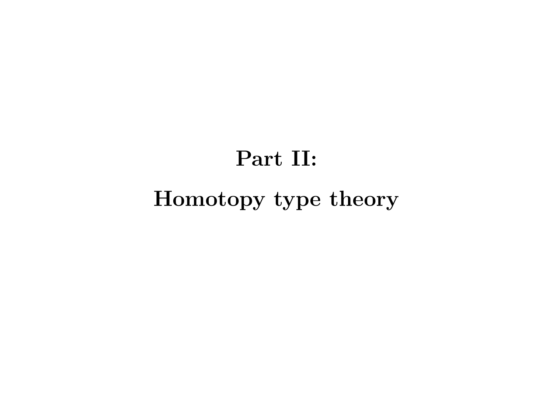# Part II: Homotopy type theory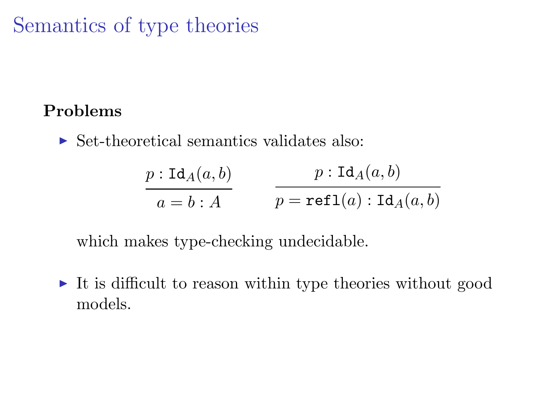Semantics of type theories

### Problems

 $\triangleright$  Set-theoretical semantics validates also:

| $p: \text{Id}_A(a,b)$ | $p: \text{Id}_A(a,b)$                        |
|-----------------------|----------------------------------------------|
| $a=b:A$               | $p = \texttt{refl}(a) : \texttt{Id}_A(a, b)$ |

which makes type-checking undecidable.

 $\triangleright$  It is difficult to reason within type theories without good models.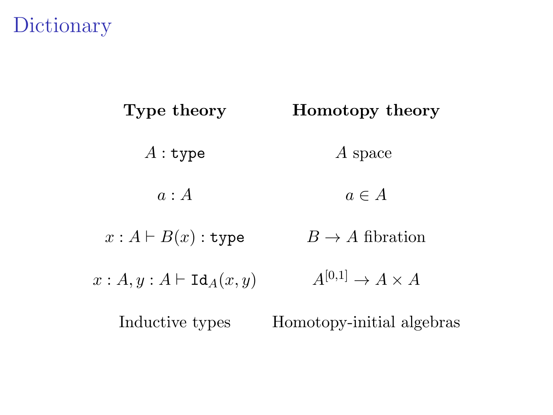# Dictionary

| Type theory                          | Homotopy theory                    |
|--------------------------------------|------------------------------------|
| $A:$ type                            | A space                            |
| $a \cdot A$                          | $a \in A$                          |
| $x:A\vdash B(x)$ : type              | $B \to A$ fibration                |
| $x:A, y:A \vdash \mathrm{Id}_A(x,y)$ | $A^{[0,1]} \rightarrow A \times A$ |
| Inductive types                      | Homotopy-initial algebras          |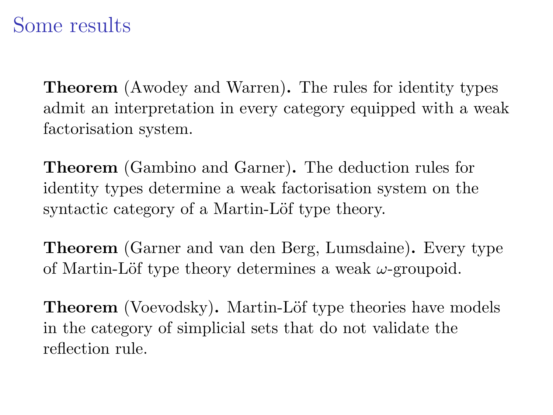## Some results

Theorem (Awodey and Warren). The rules for identity types admit an interpretation in every category equipped with a weak factorisation system.

Theorem (Gambino and Garner). The deduction rules for identity types determine a weak factorisation system on the syntactic category of a Martin-Löf type theory.

Theorem (Garner and van den Berg, Lumsdaine). Every type of Martin-Löf type theory determines a weak  $\omega$ -groupoid.

**Theorem** (Voevodsky). Martin-Löf type theories have models in the category of simplicial sets that do not validate the reflection rule.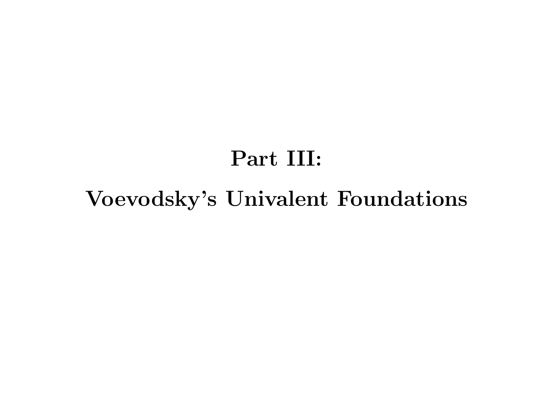# Part III: Voevodsky's Univalent Foundations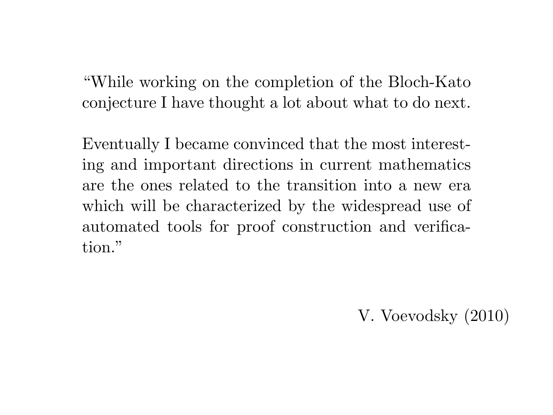"While working on the completion of the Bloch-Kato conjecture I have thought a lot about what to do next.

Eventually I became convinced that the most interesting and important directions in current mathematics are the ones related to the transition into a new era which will be characterized by the widespread use of automated tools for proof construction and verification."

V. Voevodsky (2010)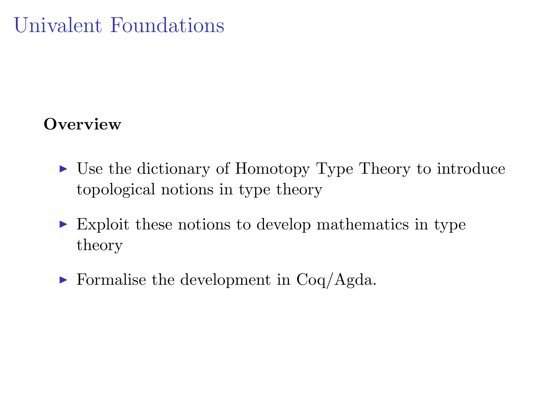# Univalent Foundations

#### **Overview**

- $\triangleright$  Use the dictionary of Homotopy Type Theory to introduce topological notions in type theory
- $\triangleright$  Exploit these notions to develop mathematics in type theory
- $\triangleright$  Formalise the development in Coq/Agda.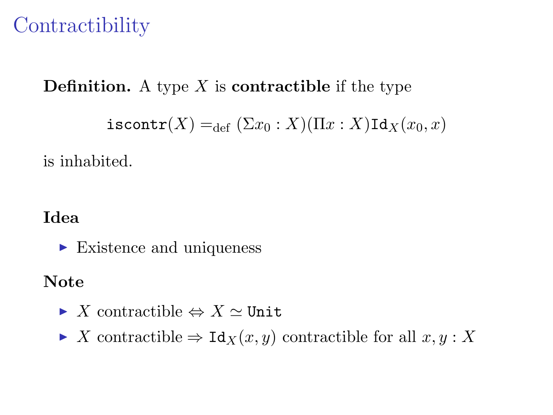# **Contractibility**

**Definition.** A type  $X$  is **contractible** if the type

 $\texttt{iscontr}(X) =_{\text{def}} (\Sigma x_0 : X)(\Pi x : X) \texttt{Id}_X(x_0, x)$ 

is inhabited.

#### Idea

 $\blacktriangleright$  Existence and uniqueness

Note

- $\triangleright$  X contractible  $\Leftrightarrow$  X  $\simeq$  Unit.
- ► X contractible  $\Rightarrow$  Id<sub>X</sub> $(x, y)$  contractible for all  $x, y : X$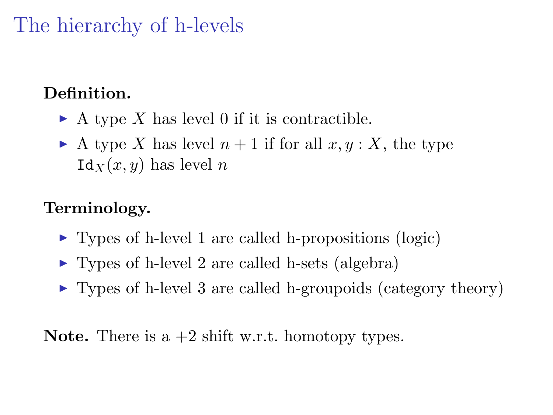## The hierarchy of h-levels

## Definition.

- $\blacktriangleright$  A type X has level 0 if it is contractible.
- A type X has level  $n+1$  if for all  $x, y : X$ , the type  $\text{Id}_X(x, y)$  has level n

## Terminology.

- $\blacktriangleright$  Types of h-level 1 are called h-propositions (logic)
- ► Types of h-level 2 are called h-sets (algebra)
- ► Types of h-level 3 are called h-groupoids (category theory)

**Note.** There is a  $+2$  shift w.r.t. homotopy types.